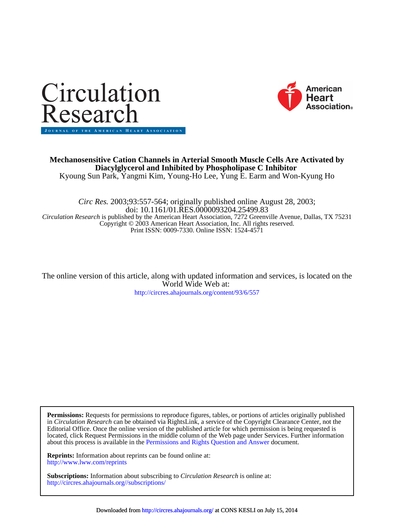



Kyoung Sun Park, Yangmi Kim, Young-Ho Lee, Yung E. Earm and Won-Kyung Ho **Diacylglycerol and Inhibited by Phospholipase C Inhibitor Mechanosensitive Cation Channels in Arterial Smooth Muscle Cells Are Activated by**

Print ISSN: 0009-7330. Online ISSN: 1524-4571 Copyright © 2003 American Heart Association, Inc. All rights reserved. *Circulation Research* is published by the American Heart Association, 7272 Greenville Avenue, Dallas, TX 75231 doi: 10.1161/01.RES.0000093204.25499.83 *Circ Res.* 2003;93:557-564; originally published online August 28, 2003;

<http://circres.ahajournals.org/content/93/6/557> World Wide Web at: The online version of this article, along with updated information and services, is located on the

about this process is available in the [Permissions and Rights Question and Answer d](http://www.ahajournals.org/site/rights/)ocument. located, click Request Permissions in the middle column of the Web page under Services. Further information Editorial Office. Once the online version of the published article for which permission is being requested is in *Circulation Research* can be obtained via RightsLink, a service of the Copyright Clearance Center, not the **Permissions:** Requests for permissions to reproduce figures, tables, or portions of articles originally published

<http://www.lww.com/reprints> **Reprints:** Information about reprints can be found online at:

<http://circres.ahajournals.org//subscriptions/> **Subscriptions:** Information about subscribing to *Circulation Research* is online at: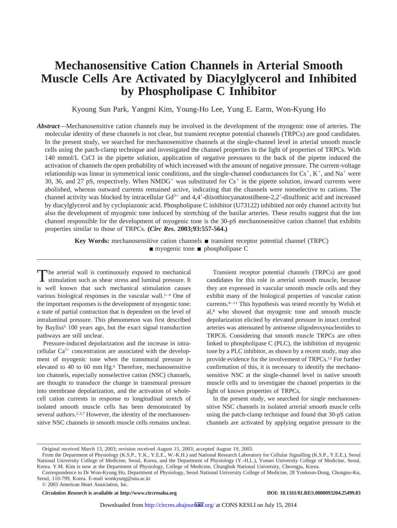# **Mechanosensitive Cation Channels in Arterial Smooth Muscle Cells Are Activated by Diacylglycerol and Inhibited by Phospholipase C Inhibitor**

Kyoung Sun Park, Yangmi Kim, Young-Ho Lee, Yung E. Earm, Won-Kyung Ho

*Abstract*—Mechanosensitive cation channels may be involved in the development of the myogenic tone of arteries. The molecular identity of these channels is not clear, but transient receptor potential channels (TRPCs) are good candidates. In the present study, we searched for mechanosensitive channels at the single-channel level in arterial smooth muscle cells using the patch-clamp technique and investigated the channel properties in the light of properties of TRPCs. With 140 mmol/L CsCl in the pipette solution, application of negative pressures to the back of the pipette induced the activation of channels the open probability of which increased with the amount of negative pressure. The current-voltage relationship was linear in symmetrical ionic conditions, and the single-channel conductances for  $Cs^+$ ,  $K^+$ , and  $Na^+$  were 30, 36, and 27 pS, respectively. When  $NMDG^+$  was substituted for  $Cs^+$  in the pipette solution, inward currents were abolished, whereas outward currents remained active, indicating that the channels were nonselective to cations. The channel activity was blocked by intracellular  $Gd^{3+}$  and 4,4'-diisothiocyanatostilbene-2,2'-disulfonic acid and increased by diacylglycerol and by cyclopiazonic acid. Phospholipase C inhibitor (U73122) inhibited not only channel activity but also the development of myogenic tone induced by stretching of the basilar arteries. These results suggest that the ion channel responsible for the development of myogenic tone is the 30-pS mechanosensitive cation channel that exhibits properties similar to those of TRPCs. **(***Circ Res***. 2003;93:557-564.)**

> **Key Words:** mechanosensitive cation channels ■ transient receptor potential channel (TRPC)  $\blacksquare$  myogenic tone  $\blacksquare$  phospholipase C

The arterial wall is continuously exposed to mechanical stimulation such as shear stress and luminal pressure. It is well known that such mechanical stimulation causes various biological responses in the vascular wall.<sup>1-4</sup> One of the important responses is the development of myogenic tone: a state of partial contraction that is dependent on the level of intraluminal pressure. This phenomenon was first described by Bayliss<sup>5</sup> 100 years ago, but the exact signal transduction pathways are still unclear.

Pressure-induced depolarization and the increase in intracellular  $Ca^{2+}$  concentration are associated with the development of myogenic tone when the transmural pressure is elevated to 40 to 60 mm Hg.<sup>6</sup> Therefore, mechanosensitive ion channels, especially nonselective cation (NSC) channels, are thought to transduce the change in transmural pressure into membrane depolarization, and the activation of wholecell cation currents in response to longitudinal stretch of isolated smooth muscle cells has been demonstrated by several authors.<sup>2,3,7</sup> However, the identity of the mechanosensitive NSC channels in smooth muscle cells remains unclear.

Transient receptor potential channels (TRPCs) are good candidates for this role in arterial smooth muscle, because they are expressed in vascular smooth muscle cells and they exhibit many of the biological properties of vascular cation currents.8–11 This hypothesis was tested recently by Welsh et al,8 who showed that myogenic tone and smooth muscle depolarization elicited by elevated pressure in intact cerebral arteries was attenuated by antisense oligodeoxynucleotides to TRPC6. Considering that smooth muscle TRPCs are often linked to phospholipase C (PLC), the inhibition of myogenic tone by a PLC inhibitor, as shown by a recent study, may also provide evidence for the involvement of TRPCs.12 For further confirmation of this, it is necessary to identify the mechanosensitive NSC at the single-channel level in native smooth muscle cells and to investigate the channel properties in the light of known properties of TRPCs.

In the present study, we searched for single mechanosensitive NSC channels in isolated arterial smooth muscle cells using the patch-clamp technique and found that 30-pS cation channels are activated by applying negative pressure to the

*Circulation Research* is available at http://www.circresaha.org DOI: 10.1161/01.RES.0000093204.25499.83

Original received March 13, 2003; revision received August 15, 2003; accepted August 19, 2003.

From the Department of Physiology (K.S.P., Y.K., Y.E.E., W.-K.H.) and National Research Laboratory for Cellular Signalling (K.S.P., Y.E.E.), Seoul National University College of Medicine, Seoul, Korea, and the Department of Physiology (Y.-H.L.), Yonsei University College of Medicine, Seoul, Korea. Y.M. Kim is now at the Department of Physiology, College of Medicine, Chungbuk National University, Cheongju, Korea.

Correspondence to Dr Won-Kyung Ho, Department of Physiology, Seoul National University College of Medicine, 28 Yonkeun-Dong, Chongno-Ku, Seoul, 110-799, Korea. E-mail wonkyung@snu.ac.kr

<sup>© 2003</sup> American Heart Association, Inc.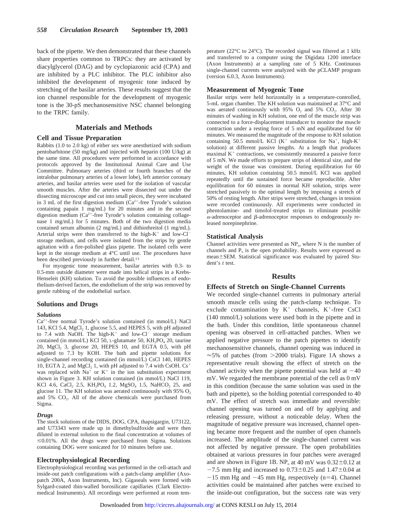back of the pipette. We then demonstrated that these channels share properties common to TRPCs: they are activated by diacylglycerol (DAG) and by cyclopiazonic acid (CPA) and are inhibited by a PLC inhibitor. The PLC inhibitor also inhibited the development of myogenic tone induced by stretching of the basilar arteries. These results suggest that the ion channel responsible for the development of myogenic tone is the 30-pS mechanosensitive NSC channel belonging to the TRPC family.

# **Materials and Methods**

## **Cell and Tissue Preparation**

Rabbits (1.0 to 2.0 kg) of either sex were anesthetized with sodium pentobarbitone (50 mg/kg) and injected with heparin (100 U/kg) at the same time. All procedures were performed in accordance with protocols approved by the Institutional Animal Care and Use Committee. Pulmonary arteries (third or fourth branches of the intralobar pulmonary arteries of a lower lobe), left anterior coronary arteries, and basilar arteries were used for the isolation of vascular smooth muscles. After the arteries were dissected out under the dissecting microscope and cut into small pieces, they were incubated in 3 mL of the first digestion medium  $(Ca^{2+}$ -free Tyrode's solution containing papain 1 mg/mL) for 20 minutes and in the second digestion medium  $(Ca^{2+})$ -free Tyrode's solution containing collagenase 1 mg/mL) for 5 minutes. Both of the two digestion media contained serum albumin (2 mg/mL) and dithiothreitol (1 mg/mL). Arterial strips were then transferred to the high- $K^+$  and low-Cl<sup>-</sup> storage medium, and cells were isolated from the strips by gentle agitation with a fire-polished glass pipette. The isolated cells were kept in the storage medium at 4°C until use. The procedures have been described previously in further detail.13

For myogenic tone measurement, basilar arteries with 0.3- to 0.5-mm outside diameter were made into helical strips in a Krebs-Henseleit (KH) solution. To avoid the possible influences of endothelium-derived factors, the endothelium of the strip was removed by gentle rubbing of the endothelial surface.

#### **Solutions and Drugs**

#### *Solutions*

 $Ca<sup>2+</sup>$ -free normal Tyrode's solution contained (in mmol/L) NaCl 143, KCl 5.4,  $MgCl<sub>2</sub>$  1, glucose 5.5, and HEPES 5, with pH adjusted to 7.4 with NaOH. The high- $K^+$  and low-Cl<sup>-</sup> storage medium contained (in mmol/L) KCl 50, L-glutamate 50,  $KH_2PO_4$  20, taurine 20,  $MgCl<sub>2</sub>$  3, glucose 20, HEPES 10, and EGTA 0.5, with pH adjusted to 7.3 by KOH. The bath and pipette solutions for single-channel recording contained (in mmol/L) CsCl 140, HEPES 10, EGTA 2, and MgCl<sub>2</sub> 1, with pH adjusted to 7.4 with CsOH.  $Cs^+$ was replaced with  $Na<sup>+</sup>$  or  $K<sup>+</sup>$  in the ion substitution experiment shown in Figure 3. KH solution contained (in mmol/L) NaCl 119, KCl 4.6, CaCl<sub>2</sub> 2.5, KH<sub>2</sub>PO<sub>4</sub> 1.2, MgSO<sub>4</sub> 1.5, NaHCO<sub>3</sub> 25, and glucose 11. The KH solution was aerated continuously with  $95\%$  O<sub>2</sub>. and  $5\%$   $CO<sub>2</sub>$ . All of the above chemicals were purchased from Sigma.

#### *Drugs*

The stock solutions of the DIDS, DOG, CPA, thapsigargin, U73122, and U73343 were made up in dimethylsulfoxide and were then diluted in external solution to the final concentration at volumes of  $\leq 0.01\%$ . All the drugs were purchased from Sigma. Solutions containing DOG were sonicated for 10 minutes before use.

#### **Electrophysiological Recording**

Electrophysiological recording was performed in the cell-attach and inside-out patch configurations with a patch-clamp amplifier (Axopatch 200A, Axon Instruments, Inc). Gigaseals were formed with Sylgard-coated thin-walled borosilicate capillaries (Clark Electromedical Instruments). All recordings were performed at room temperature (22°C to 24°C). The recorded signal was filtered at 1 kHz and transferred to a computer using the Digidata 1200 interface (Axon Instruments) at a sampling rate of 5 KHz. Continuous single-channel currents were analyzed with the pCLAMP program (version 6.0.3, Axon Instruments).

## **Measurement of Myogenic Tone**

Basilar strips were held horizontally in a temperature-controlled, 5-mL organ chamber. The KH solution was maintained at 37°C and was aerated continuously with  $95\%$  O<sub>2</sub> and  $5\%$  CO<sub>2</sub>. After 30 minutes of washing in KH solution, one end of the muscle strip was connected to a force-displacement transducer to monitor the muscle contraction under a resting force of 5 mN and equilibrated for 60 minutes. We measured the magnitude of the response to KH solution containing 50.5 mmol/L KCl (K<sup>+</sup> substitution for Na<sup>+</sup>, high-K<sup>+</sup> solution) at different passive lengths. At a length that produces maximal  $K<sup>+</sup>$  contractions, we consistently measured a passive force of 5 mN. We made efforts to prepare strips of identical size, and the weight of the tissue was consistent. During equilibration for 60 minutes, KH solution containing 50.5 mmol/L KCl was applied repeatedly until the sustained force became reproducible. After equilibration for 60 minutes in normal KH solution, strips were stretched passively to the optimal length by imposing a stretch of 50% of resting length. After strips were stretched, changes in tension were recorded continuously. All experiments were conducted in phentolamine- and timolol-treated strips to eliminate possible  $\alpha$ -adrenoceptor and  $\beta$ -adrenoceptor responses to endogenously released norepinephrine.

## **Statistical Analysis**

Channel activities were presented as NP<sub>o</sub>, where N is the number of channels and  $P_0$  is the open probability. Results were expressed as mean±SEM. Statistical significance was evaluated by paired Student's *t* test.

#### **Results**

## **Effects of Stretch on Single-Channel Currents**

We recorded single-channel currents in pulmonary arterial smooth muscle cells using the patch-clamp technique. To exclude contamination by  $K^+$  channels,  $K^+$ -free CsCl (140 mmol/L) solutions were used both in the pipette and in the bath. Under this condition, little spontaneous channel opening was observed in cell-attached patches. When we applied negative pressure to the patch pipettes to identify mechanosensitive channels, channel opening was induced in  $\approx$  5% of patches (from  $>$  2000 trials). Figure 1A shows a representative result showing the effect of stretch on the channel activity when the pipette potential was held at  $-40$ mV. We regarded the membrane potential of the cell as 0 mV in this condition (because the same solution was used in the bath and pipette), so the holding potential corresponded to 40 mV. The effect of stretch was immediate and reversible: channel opening was turned on and off by applying and releasing pressure, without a noticeable delay. When the magnitude of negative pressure was increased, channel opening became more frequent and the number of open channels increased. The amplitude of the single-channel current was not affected by negative pressure. The open probabilities obtained at various pressures in four patches were averaged and are shown in Figure 1B.  $NP_0$  at 40 mV was  $0.32 \pm 0.12$  at  $-7.5$  mm Hg and increased to  $0.73\pm0.25$  and  $1.47\pm0.04$  at  $-15$  mm Hg and  $-45$  mm Hg, respectively (n=4). Channel activities could be maintained after patches were excised to the inside-out configuration, but the success rate was very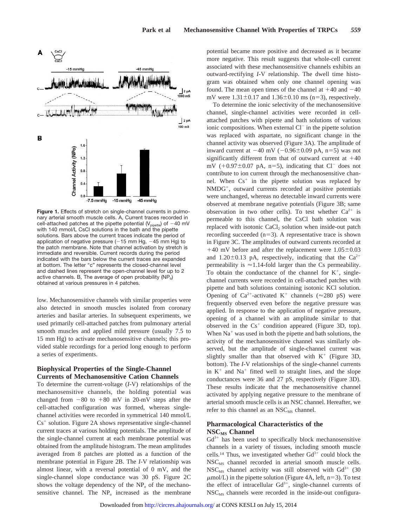

**Figure 1.** Effects of stretch on single-channel currents in pulmonary arterial smooth muscle cells. A, Current traces recorded in cell-attached patches at the pipette potential ( $V_{\text{pipette}}$ ) of  $-40 \text{ mV}$ with 140 mmol/L CsCl solutions in the bath and the pipette solutions. Bars above the current traces indicate the period of application of negative pressure  $(-15 \text{ mm Hg}, -45 \text{ mm Hg})$  to the patch membrane. Note that channel activation by stretch is immediate and reversible. Current records during the period indicated with the bars below the current traces are expanded at bottom. The letter "c" represents the closed-channel level and dashed lines represent the open-channel level for up to 2 active channels. B, The average of open probability  $(NP_0)$ obtained at various pressures in 4 patches.

low. Mechanosensitive channels with similar properties were also detected in smooth muscles isolated from coronary arteries and basilar arteries. In subsequent experiments, we used primarily cell-attached patches from pulmonary arterial smooth muscles and applied mild pressure (usually 7.5 to 15 mm Hg) to activate mechanosensitive channels; this provided stable recordings for a period long enough to perform a series of experiments.

# **Biophysical Properties of the Single-Channel Currents of Mechanosensitive Cation Channels**

To determine the current-voltage (*I*-V) relationships of the mechanosensitive channels, the holding potential was changed from  $-80$  to  $+80$  mV in 20-mV steps after the cell-attached configuration was formed, whereas singlechannel activities were recorded in symmetrical 140 mmol/L  $Cs<sup>+</sup>$  solution. Figure 2A shows representative single-channel current traces at various holding potentials. The amplitude of the single-channel current at each membrane potential was obtained from the amplitude histogram. The mean amplitudes averaged from 8 patches are plotted as a function of the membrane potential in Figure 2B. The *I*-V relationship was almost linear, with a reversal potential of 0 mV, and the single-channel slope conductance was 30 pS. Figure 2C shows the voltage dependency of the  $NP_0$  of the mechanosensitive channel. The  $NP<sub>o</sub>$  increased as the membrane

potential became more positive and decreased as it became more negative. This result suggests that whole-cell current associated with these mechanosensitive channels exhibits an outward-rectifying *I*-V relationship. The dwell time histogram was obtained when only one channel opening was found. The mean open times of the channel at  $+40$  and  $-40$ mV were  $1.31 \pm 0.17$  and  $1.36 \pm 0.10$  ms (n=3), respectively.

To determine the ionic selectivity of the mechanosensitive channel, single-channel activities were recorded in cellattached patches with pipette and bath solutions of various ionic compositions. When external  $Cl^-$  in the pipette solution was replaced with aspartate, no significant change in the channel activity was observed (Figure 3A). The amplitude of inward current at  $-40$  mV ( $-0.96\pm0.09$  pA, n=5) was not significantly different from that of outward current at  $+40$ mV ( $+0.97\pm0.07$  pA, n=5), indicating that Cl<sup>-</sup> does not contribute to ion current through the mechanosensitive channel. When  $Cs<sup>+</sup>$  in the pipette solution was replaced by NMDG<sup>+</sup>, outward currents recorded at positive potentials were unchanged, whereas no detectable inward currents were observed at membrane negative potentials (Figure 3B; same observation in two other cells). To test whether  $Ca^{2+}$  is permeable to this channel, the CsCl bath solution was replaced with isotonic  $CaCl<sub>2</sub>$  solution when inside-out patch recording succeeded  $(n=3)$ . A representative trace is shown in Figure 3C. The amplitudes of outward currents recorded at  $+40$  mV before and after the replacement were  $1.05\pm0.03$ and 1.20 $\pm$ 0.13 pA, respectively, indicating that the Ca<sup>2+</sup> permeability is  $\approx$  1.14-fold larger than the Cs permeability. To obtain the conductance of the channel for  $K^+$ , singlechannel currents were recorded in cell-attached patches with pipette and bath solutions containing isotonic KCl solution. Opening of Ca<sup>2+</sup>-activated K<sup>+</sup> channels ( $\approx$ 280 pS) were frequently observed even before the negative pressure was applied. In response to the application of negative pressure, opening of a channel with an amplitude similar to that observed in the  $Cs<sup>+</sup>$  condition appeared (Figure 3D, top). When  $Na<sup>+</sup>$  was used in both the pipette and bath solutions, the activity of the mechanosensitive channel was similarly observed, but the amplitude of single-channel current was slightly smaller than that observed with  $K^+$  (Figure 3D, bottom). The *I*-V relationships of the single-channel currents in  $K^+$  and  $Na^+$  fitted well to straight lines, and the slope conductances were 36 and 27 pS, respectively (Figure 3D). These results indicate that the mechanosensitive channel activated by applying negative pressure to the membrane of arterial smooth muscle cells is an NSC channel. Hereafter, we refer to this channel as an  $NSC_{MS}$  channel.

# **Pharmacological Characteristics of the**  $NSC<sub>MS</sub>$  **Channel**

 $Gd^{3+}$  has been used to specifically block mechanosensitive channels in a variety of tissues, including smooth muscle cells.<sup>14</sup> Thus, we investigated whether  $Gd^{3+}$  could block the NSC<sub>MS</sub> channel recorded in arterial smooth muscle cells.  $NSC_{MS}$  channel activity was still observed with  $Gd^{3+}$  (30  $\mu$ mol/L) in the pipette solution (Figure 4A, left, n=3). To test the effect of intracellular  $Gd^{3+}$ , single-channel currents of  $NSC<sub>MS</sub>$  channels were recorded in the inside-out configura-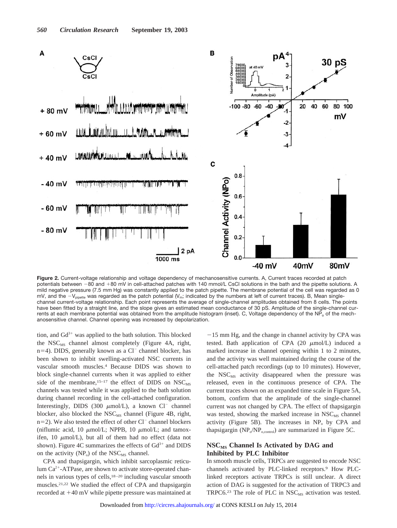

**Figure 2.** Current-voltage relationship and voltage dependency of mechanosensitive currents. A, Current traces recorded at patch potentials between -80 and +80 mV in cell-attached patches with 140 mmol/L CsCl solutions in the bath and the pipette solutions. A mild negative pressure (7.5 mm Hg) was constantly applied to the patch pipette. The membrane potential of the cell was regarded as 0 mV, and the  $-V_{\text{pjotte}}$  was regarded as the patch potential ( $V_{\text{m}}$ ; indicated by the numbers at left of current traces). B, Mean singlechannel current-voltage relationship. Each point represents the average of single-channel amplitudes obtained from 8 cells. The points have been fitted by a straight line, and the slope gives an estimated mean conductance of 30 pS. Amplitude of the single-channel currents at each membrane potential was obtained from the amplitude histogram (inset). C, Voltage dependency of the NP<sub>o</sub> of the mechanosensitive channel. Channel opening was increased by depolarization.

tion, and  $Gd^{3+}$  was applied to the bath solution. This blocked the  $NSC_{MS}$  channel almost completely (Figure 4A, right,  $n=4$ ). DIDS, generally known as a Cl<sup>-</sup> channel blocker, has been shown to inhibit swelling-activated NSC currents in vascular smooth muscles.4 Because DIDS was shown to block single-channel currents when it was applied to either side of the membrane,<sup>15–17</sup> the effect of DIDS on  $NSC_{MS}$ channels was tested while it was applied to the bath solution during channel recording in the cell-attached configuration. Interestingly, DIDS (300  $\mu$ mol/L), a known Cl<sup>-</sup> channel blocker, also blocked the  $NSC_{MS}$  channel (Figure 4B, right,  $n=2$ ). We also tested the effect of other Cl<sup>-</sup> channel blockers (niflumic acid, 10  $\mu$ mol/L; NPPB, 10  $\mu$ mol/L; and tamoxifen, 10  $\mu$ mol/L), but all of them had no effect (data not shown). Figure 4C summarizes the effects of  $Gd^{3+}$  and DIDS on the activity  $(NP_0)$  of the NSC<sub>MS</sub> channel.

CPA and thapsigargin, which inhibit sarcoplasmic reticulum  $Ca^{2+}-ATP$ ase, are shown to activate store-operated channels in various types of cells,18–20 including vascular smooth muscles.21,22 We studied the effect of CPA and thapsigargin recorded at  $+40$  mV while pipette pressure was maintained at

 $-15$  mm Hg, and the change in channel activity by CPA was tested. Bath application of CPA  $(20 \mu \text{mol/L})$  induced a marked increase in channel opening within 1 to 2 minutes, and the activity was well maintained during the course of the cell-attached patch recordings (up to 10 minutes). However, the  $NSC_{MS}$  activity disappeared when the pressure was released, even in the continuous presence of CPA. The current traces shown on an expanded time scale in Figure 5A, bottom, confirm that the amplitude of the single-channel current was not changed by CPA. The effect of thapsigargin was tested, showing the marked increase in  $NSC_{MS}$  channel activity (Figure 5B). The increases in  $NP<sub>o</sub>$  by CPA and thapsigargin  $(NP_0/NP_{o,control})$  are summarized in Figure 5C.

# **NSCMS Channel Is Activated by DAG and Inhibited by PLC Inhibitor**

In smooth muscle cells, TRPCs are suggested to encode NSC channels activated by PLC-linked receptors.<sup>9</sup> How PLClinked receptors activate TRPCs is still unclear. A direct action of DAG is suggested for the activation of TRPC3 and TRPC6.<sup>23</sup> The role of PLC in  $NSC_{MS}$  activation was tested.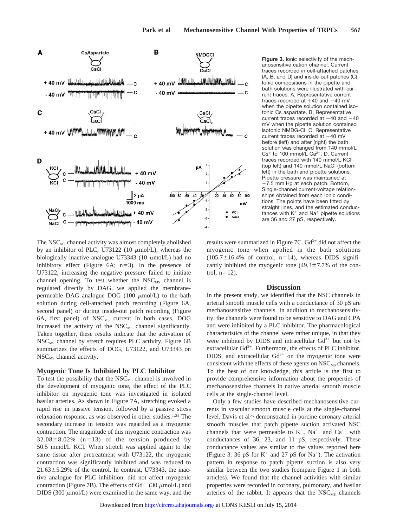

**Figure 3.** Ionic selectivity of the mechanosensitive cation channel. Current traces recorded in cell-attached patches (A, B, and D) and inside-out patches (C). Ionic compositions in the pipette and bath solutions were illustrated with current traces. A, Representative current traces recorded at  $+40$  and  $-40$  mV when the pipette solution contained isotonic Cs aspartate. B, Representative current traces recorded at  $+40$  and  $-40$ mV when the pipette solution contained isotonic NMDG-Cl. C, Representative current traces recorded at  $+40$  mV before (left) and after (right) the bath solution was changed from 140 mmol/L  $Cs<sup>+</sup>$  to 100 mmol/L  $Ca<sup>2+</sup>$ . D, Current traces recorded with 140 mmol/L KCl (top left) and 140 mmol/L NaCl (bottom left) in the bath and pipette solutions. Pipette pressure was maintained at -7.5 mm Hg at each patch. Bottom, Single-channel current-voltage relationships obtained from each ionic conditions. The points have been fitted by straight lines, and the estimated conductances with  $K^+$  and Na<sup>+</sup> pipette solutions are 36 and 27 pS, respectively.

The NSC<sub>MS</sub> channel activity was almost completely abolished by an inhibitor of PLC, U73122 (10  $\mu$ mol/L), whereas the biologically inactive analogue U73343 (10  $\mu$ mol/L) had no inhibitory effect (Figure  $6A$ ;  $n=3$ ). In the presence of U73122, increasing the negative pressure failed to initiate channel opening. To test whether the  $NSC_{MS}$  channel is regulated directly by DAG, we applied the membranepermeable DAG analogue DOG  $(100 \mu mol/L)$  to the bath solution during cell-attached patch recording (Figure 6A, second panel) or during inside-out patch recording (Figure 6A, first panel) of  $NSC_{MS}$  current In both cases, DOG increased the activity of the NSC<sub>MS</sub> channel significantly. Taken together, these results indicate that the activation of NSC<sub>MS</sub> channel by stretch requires PLC activity. Figure 6B summarizes the effects of DOG, U73122, and U73343 on NSC<sub>MS</sub> channel activity.

# **Myogenic Tone Is Inhibited by PLC Inhibitor**

To test the possibility that the  $NSC_{MS}$  channel is involved in the development of myogenic tone, the effect of the PLC inhibitor on myogenic tone was investigated in isolated basilar arteries. As shown in Figure 7A, stretching evoked a rapid rise in passive tension, followed by a passive stress relaxation response, as was observed in other studies.1,24 The secondary increase in tension was regarded as a myogenic contraction. The magnitude of this myogenic contraction was  $32.08 \pm 8.02\%$  (n=13) of the tension produced by 50.5 mmol/L KCl. When stretch was applied again to the same tissue after pretreatment with U73122, the myogenic contraction was significantly inhibited and was reduced to  $21.63 \pm 5.29$ % of the control. In contrast, U73343, the inactive analogue for PLC inhibition, did not affect myogenic contraction (Figure 7B). The effects of  $Gd^{3+}$  (30  $\mu$ mol/L) and DIDS (300  $\mu$ mol/L) were examined in the same way, and the

results were summarized in Figure 7C.  $Gd^{3+}$  did not affect the myogenic tone when applied in the bath solutions  $(105.7 \pm 16.4\%$  of control, n=14), whereas DIDS significantly inhibited the myogenic tone  $(49.3 \pm 7.7\%)$  of the control,  $n=12$ ).

## **Discussion**

In the present study, we identified that the NSC channels in arterial smooth muscle cells with a conductance of 30 pS are mechanosensitive channels. In addition to mechanosensitivity, the channels were found to be sensitive to DAG and CPA and were inhibited by a PLC inhibitor. The pharmacological characteristics of the channel were rather unique, in that they were inhibited by DIDS and intracellular  $Gd^{3+}$  but not by extracellular  $Gd^{3+}$ . Furthermore, the effects of PLC inhibitor, DIDS, and extracellular  $Gd^{3+}$  on the myogenic tone were consistent with the effects of these agents on NSC<sub>MS</sub> channels. To the best of our knowledge, this article is the first to provide comprehensive information about the properties of mechanosensitive channels in native arterial smooth muscle cells at the single-channel level.

Only a few studies have described mechanosensitive currents in vascular smooth muscle cells at the single-channel level. Davis et al<sup>25</sup> demonstrated in porcine coronary arterial smooth muscles that patch pipette suction activated NSC channels that were permeable to  $K^+$ , Na<sup>+</sup>, and Ca<sup>2+</sup> with conductances of 36, 23, and 11 pS, respectively. These conductance values are similar to the values reported here (Figure 3: 36 pS for  $K^+$  and 27 pS for Na<sup>+</sup>). The activation pattern in response to patch pipette suction is also very similar between the two studies (compare Figure 1 in both articles). We found that the channel activities with similar properties were recorded in coronary, pulmonary, and basilar arteries of the rabbit. It appears that the  $NSC_{MS}$  channels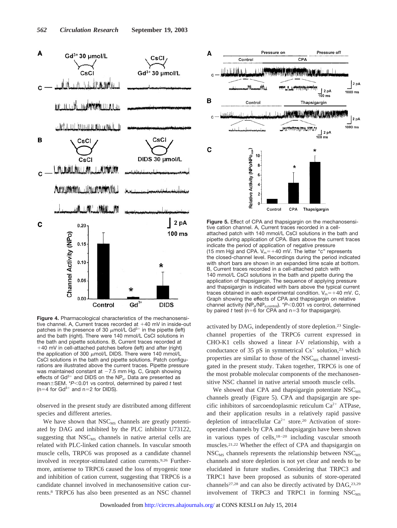

**Figure 4.** Pharmacological characteristics of the mechanosensitive channel. A, Current traces recorded at  $+40$  mV in inside-out patches in the presence of 30  $\mu$ mol/L Gd<sup>3+</sup> in the pipette (left) and the bath (right). There were 140 mmol/L CsCl solutions in the bath and pipette solutions. B, Current traces recorded at 40 mV in cell-attached patches before (left) and after (right) the application of 300  $\mu$ mol/L DIDS. There were 140 mmol/L CsCl solutions in the bath and pipette solutions. Patch configurations are illustrated above the current traces. Pipette pressure was maintained constant at  $-7.5$  mm Hg. C, Graph showing effects of  $Gd^{3+}$  and DIDS on the NP<sub>o</sub>. Data are presented as mean±SEM. \**P*<0.01 vs control, determined by paired *t* test  $(n=4$  for Gd<sup>3+</sup> and n=2 for DIDS).

observed in the present study are distributed among different species and different arteries.

We have shown that  $NSC_{MS}$  channels are greatly potentiated by DAG and inhibited by the PLC inhibitor U73122, suggesting that  $NSC_{MS}$  channels in native arterial cells are related with PLC-linked cation channels. In vascular smooth muscle cells, TRPC6 was proposed as a candidate channel involved in receptor-stimulated cation currents.9,26 Furthermore, antisense to TRPC6 caused the loss of myogenic tone and inhibition of cation current, suggesting that TRPC6 is a candidate channel involved in mechanosensitive cation currents.8 TRPC6 has also been presented as an NSC channel



**Figure 5.** Effect of CPA and thapsigargin on the mechanosensitive cation channel. A, Current traces recorded in a cellattached patch with 140 mmol/L CsCl solutions in the bath and pipette during application of CPA. Bars above the current traces indicate the period of application of negative pressure (15 mm Hg) and CPA.  $V_m$ = +40 mV. The letter "c" represents the closed-channel level. Recordings during the period indicated with short bars are shown in an expanded time scale at bottom. B, Current traces recorded in a cell-attached patch with 140 mmol/L CsCI solutions in the bath and pipette during the application of thapsigargin. The sequence of applying pressure and thapsigargin is indicated with bars above the typical current traces obtained in each experimental condition.  $V_m=+40$  mV. C, Graph showing the effects of CPA and thapsigargin on relative channel activity (NP<sub>o</sub>/NP<sub>o,control</sub>). \*P<0.001 vs control, determined by paired *t* test ( $n=6$  for CPA and  $n=3$  for thapsigargin).

activated by DAG, independently of store depletion.23 Singlechannel properties of the TRPC6 current expressed in CHO-K1 cells showed a linear *I*-V relationship, with a conductance of 35 pS in symmetrical  $Cs^+$  solution,<sup>23</sup> which properties are similar to those of the  $NSC_{MS}$  channel investigated in the present study. Taken together, TRPC6 is one of the most probable molecular components of the mechanosensitive NSC channel in native arterial smooth muscle cells.

We showed that CPA and thapsigargin potentiate  $NSC_{MS}$ channels greatly (Figure 5). CPA and thapsigargin are specific inhibitors of sarcoendoplasmic reticulum  $Ca^{2+}$  ATPase, and their application results in a relatively rapid passive depletion of intracellular  $Ca^{2+}$  store.<sup>20</sup> Activation of storeoperated channels by CPA and thapsigargin have been shown in various types of cells,18–20 including vascular smooth muscles.21,22 Whether the effect of CPA and thapsigargin on  $NSC_{MS}$  channels represents the relationship between  $NSC_{MS}$ channels and store depletion is not yet clear and needs to be elucidated in future studies. Considering that TRPC3 and TRPC1 have been proposed as subunits of store-operated channels<sup>27,28</sup> and can also be directly activated by DAG,<sup>23,29</sup> involvement of TRPC3 and TRPC1 in forming  $NSC_{MS}$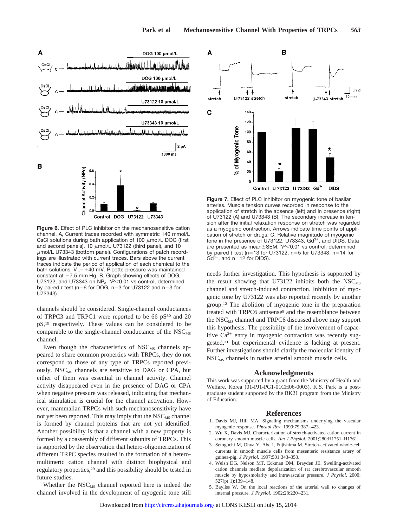

**Figure 6.** Effect of PLC inhibitor on the mechanosensitive cation channel. A, Current traces recorded with symmetric 140 mmol/L CsCl solutions during bath application of 100  $\mu$ mol/L DOG (first and second panels), 10  $\mu$ mol/L U73122 (third panel), and 10  $\mu$ mol/L U73343 (bottom panel). Configurations of patch recordings are illustrated with current traces. Bars above the current traces indicate the period of application of each chemical to the bath solutions.  $V_m$ = +40 mV. Pipette pressure was maintained constant at  $-7.5$  mm Hg. B, Graph showing effects of DOG, U73122, and U73343 on NP<sub>o</sub>. \*P<0.01 vs control, determined by paired  $t$  test (n=6 for DOG, n=3 for U73122 and n=3 for U73343).

channels should be considered. Single-channel conductances of TRPC3 and TRPC1 were reported to be 66 pS<sup>30</sup> and 20 pS,19 respectively. These values can be considered to be comparable to the single-channel conductance of the  $NSC_{MS}$ channel.

Even though the characteristics of  $NSC_{MS}$  channels appeared to share common properties with TRPCs, they do not correspond to those of any type of TRPCs reported previously.  $NSC_{MS}$  channels are sensitive to DAG or CPA, but either of them was essential in channel activity. Channel activity disappeared even in the presence of DAG or CPA when negative pressure was released, indicating that mechanical stimulation is crucial for the channel activation. However, mammalian TRPCs with such mechanosensitivity have not yet been reported. This may imply that the  $NSC_{MS}$  channel is formed by channel proteins that are not yet identified. Another possibility is that a channel with a new property is formed by a coassembly of different subunits of TRPCs. This is supported by the observation that hetero-oligomerization of different TRPC species resulted in the formation of a heteromultimeric cation channel with distinct biophysical and regulatory properties,29 and this possibility should be tested in future studies.

Whether the  $NSC_{MS}$  channel reported here is indeed the channel involved in the development of myogenic tone still



**Figure 7.** Effect of PLC inhibitor on myogenic tone of basilar arteries. Muscle tension curves recorded in response to the application of stretch in the absence (left) and in presence (right) of U73122 (A) and U73343 (B). The secondary increase in tension after the initial relaxation response on stretch was regarded as a myogenic contraction. Arrows indicate time points of application of stretch or drugs. C, Relative magnitude of myogenic tone in the presence of U73122, U73343,  $Gd^{3+}$ , and DIDS. Data are presented as mean ± SEM. \**P*<0.01 vs control, determined by paired *t* test (n=13 for U73122, n=5 for U73343, n=14 for  $Gd^{3+}$ , and n=12 for DIDS).

needs further investigation. This hypothesis is supported by the result showing that U73122 inhibits both the  $NSC_{MS}$ channel and stretch-induced contraction. Inhibition of myogenic tone by U73122 was also reported recently by another group.12 The abolition of myogenic tone in the preparation treated with TRPC6 antisense<sup>8</sup> and the resemblance between the NSC<sub>MS</sub> channel and TRPC6 discussed above may support this hypothesis. The possibility of the involvement of capacitive  $Ca^{2+}$  entry in myogenic contraction was recently suggested,31 but experimental evidence is lacking at present. Further investigations should clarify the molecular identity of  $NSC<sub>MS</sub>$  channels in native arterial smooth muscle cells.

#### **Acknowledgments**

This work was supported by a grant from the Ministry of Health and Welfare, Korea (01-PJ1-PG1-01CH06-0003). K.S. Park is a postgraduate student supported by the BK21 program from the Ministry of Education.

#### **References**

- 1. Davis MJ, Hill MA. Signaling mechanisms underlying the vascular myogenic response. *Physiol Rev*. 1999;79:387–423.
- 2. Wu X, Davis MJ. Characterization of stretch-activated cation current in coronary smooth muscle cells. *Am J Physiol*. 2001;280:H1751–H1761.
- 3. Setoguchi M, Ohya Y, Abe I, Fujishima M. Stretch-activated whole-cell currents in smooth muscle cells from mesenteric resistance artery of guinea-pig. *J Physiol*. 1997;501:343–353.
- 4. Welsh DG, Nelson MT, Eckman DM, Brayden JE. Swelling-activated cation channels mediate depolarization of rat cerebrovascular smooth muscle by hyposmolarity and intravascular pressure. *J Physiol*. 2000; 527(pt 1):139–148.
- 5. Bayliss W. On the local reactions of the arterial wall to changes of internal pressure. *J Physiol*. 1902;28:220–231.